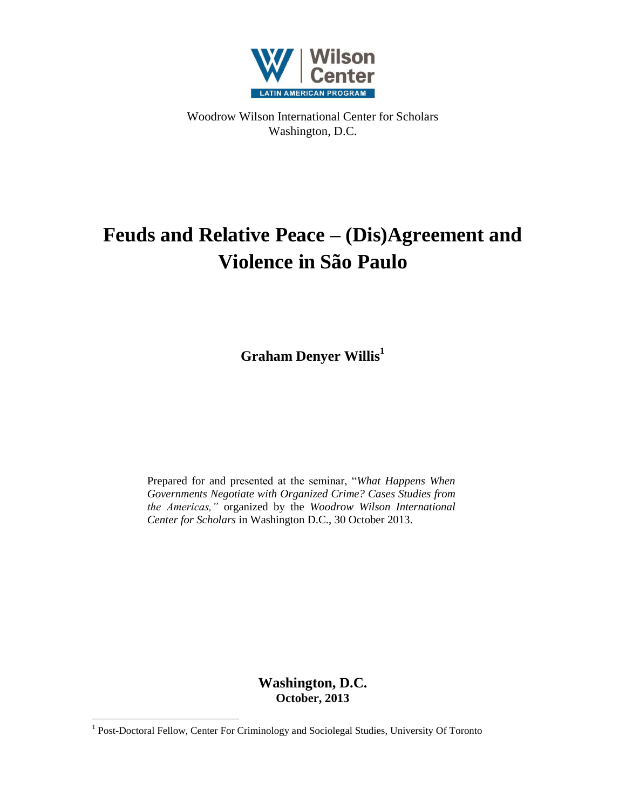

Woodrow Wilson International Center for Scholars Washington, D.C.

# **Feuds and Relative Peace – (Dis)Agreement and Violence in São Paulo**

**Graham Denyer Willis<sup>1</sup>**

Prepared for and presented at the seminar, "*What Happens When Governments Negotiate with Organized Crime? Cases Studies from the Americas,"* organized by the *Woodrow Wilson International Center for Scholars* in Washington D.C., 30 October 2013.

> **Washington, D.C. October, 2013**

<sup>&</sup>lt;sup>1</sup> Post-Doctoral Fellow, Center For Criminology and Sociolegal Studies, University Of Toronto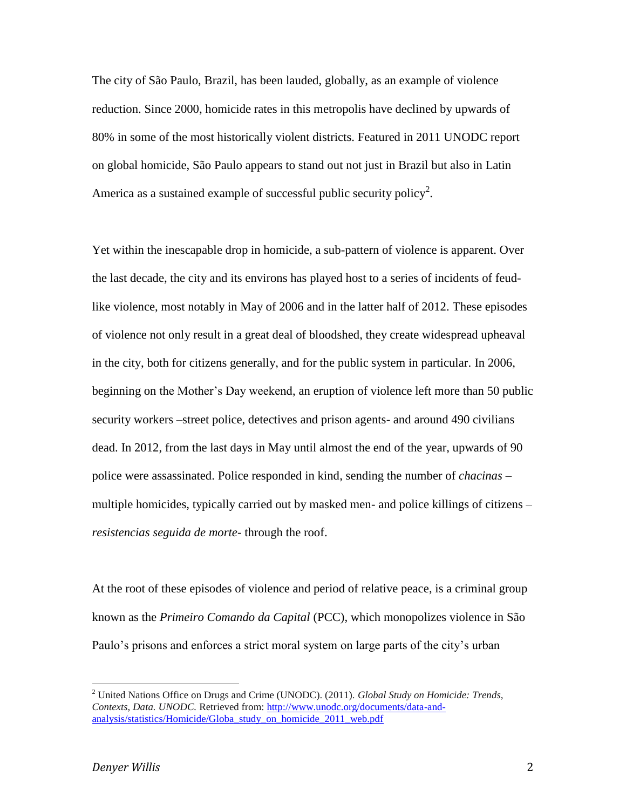The city of São Paulo, Brazil, has been lauded, globally, as an example of violence reduction. Since 2000, homicide rates in this metropolis have declined by upwards of 80% in some of the most historically violent districts. Featured in 2011 UNODC report on global homicide, São Paulo appears to stand out not just in Brazil but also in Latin America as a sustained example of successful public security policy<sup>2</sup>.

Yet within the inescapable drop in homicide, a sub-pattern of violence is apparent. Over the last decade, the city and its environs has played host to a series of incidents of feudlike violence, most notably in May of 2006 and in the latter half of 2012. These episodes of violence not only result in a great deal of bloodshed, they create widespread upheaval in the city, both for citizens generally, and for the public system in particular. In 2006, beginning on the Mother's Day weekend, an eruption of violence left more than 50 public security workers –street police, detectives and prison agents- and around 490 civilians dead. In 2012, from the last days in May until almost the end of the year, upwards of 90 police were assassinated. Police responded in kind, sending the number of *chacinas* – multiple homicides, typically carried out by masked men- and police killings of citizens – *resistencias seguida de morte*- through the roof.

At the root of these episodes of violence and period of relative peace, is a criminal group known as the *Primeiro Comando da Capital* (PCC), which monopolizes violence in São Paulo's prisons and enforces a strict moral system on large parts of the city's urban

<sup>2</sup> United Nations Office on Drugs and Crime (UNODC). (2011). *Global Study on Homicide: Trends, Contexts, Data. UNODC.* Retrieved from: [http://www.unodc.org/documents/data-and](http://www.unodc.org/documents/data-and-analysis/statistics/Homicide/Globa_study_on_homicide_2011_web.pdf)[analysis/statistics/Homicide/Globa\\_study\\_on\\_homicide\\_2011\\_web.pdf](http://www.unodc.org/documents/data-and-analysis/statistics/Homicide/Globa_study_on_homicide_2011_web.pdf)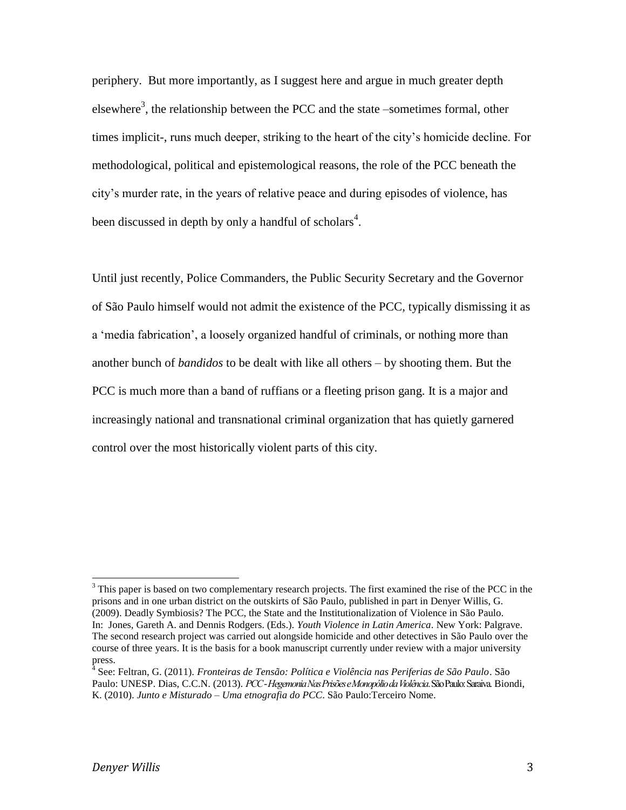periphery. But more importantly, as I suggest here and argue in much greater depth elsewhere<sup>3</sup>, the relationship between the PCC and the state –sometimes formal, other times implicit-, runs much deeper, striking to the heart of the city's homicide decline. For methodological, political and epistemological reasons, the role of the PCC beneath the city's murder rate, in the years of relative peace and during episodes of violence, has been discussed in depth by only a handful of scholars<sup>4</sup>.

Until just recently, Police Commanders, the Public Security Secretary and the Governor of São Paulo himself would not admit the existence of the PCC, typically dismissing it as a 'media fabrication', a loosely organized handful of criminals, or nothing more than another bunch of *bandidos* to be dealt with like all others – by shooting them. But the PCC is much more than a band of ruffians or a fleeting prison gang. It is a major and increasingly national and transnational criminal organization that has quietly garnered control over the most historically violent parts of this city.

<sup>&</sup>lt;sup>3</sup> This paper is based on two complementary research projects. The first examined the rise of the PCC in the prisons and in one urban district on the outskirts of São Paulo, published in part in Denyer Willis, G. (2009). Deadly Symbiosis? The PCC, the State and the Institutionalization of Violence in São Paulo. In: Jones, Gareth A. and Dennis Rodgers. (Eds.). *Youth Violence in Latin America*. New York: Palgrave. The second research project was carried out alongside homicide and other detectives in São Paulo over the course of three years. It is the basis for a book manuscript currently under review with a major university press.

<sup>&</sup>lt;sup>4</sup> See: Feltran, G. (2011). *Fronteiras de Tensão: Política e Violência nas Periferias de São Paulo*. São Paulo: UNESP. Dias, C.C.N. (2013). *PCC -Hegemonia Nas Prisões e Monopólio da Violência*. São Paulo: Saraiva. Biondi, K. (2010). *Junto e Misturado – Uma etnografia do PCC*. São Paulo:Terceiro Nome.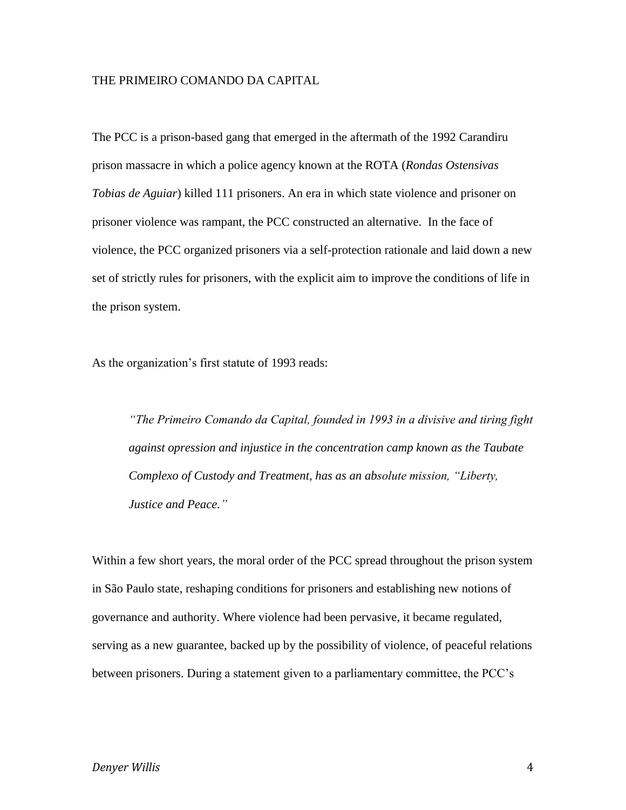### THE PRIMEIRO COMANDO DA CAPITAL

The PCC is a prison-based gang that emerged in the aftermath of the 1992 Carandiru prison massacre in which a police agency known at the ROTA (*Rondas Ostensivas Tobias de Aguiar*) killed 111 prisoners. An era in which state violence and prisoner on prisoner violence was rampant, the PCC constructed an alternative. In the face of violence, the PCC organized prisoners via a self-protection rationale and laid down a new set of strictly rules for prisoners, with the explicit aim to improve the conditions of life in the prison system.

As the organization's first statute of 1993 reads:

*"The Primeiro Comando da Capital, founded in 1993 in a divisive and tiring fight against opression and injustice in the concentration camp known as the Taubate Complexo of Custody and Treatment, has as an absolute mission, "Liberty, Justice and Peace."* 

Within a few short years, the moral order of the PCC spread throughout the prison system in São Paulo state, reshaping conditions for prisoners and establishing new notions of governance and authority. Where violence had been pervasive, it became regulated, serving as a new guarantee, backed up by the possibility of violence, of peaceful relations between prisoners. During a statement given to a parliamentary committee, the PCC's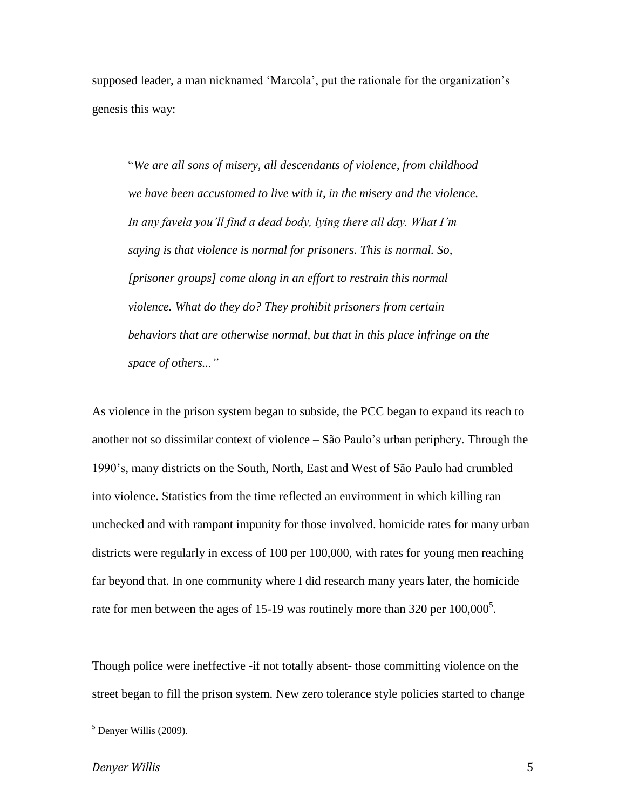supposed leader, a man nicknamed 'Marcola', put the rationale for the organization's genesis this way:

"*We are all sons of misery, all descendants of violence, from childhood we have been accustomed to live with it, in the misery and the violence. In any favela you'll find a dead body, lying there all day. What I'm saying is that violence is normal for prisoners. This is normal. So, [prisoner groups] come along in an effort to restrain this normal violence. What do they do? They prohibit prisoners from certain behaviors that are otherwise normal, but that in this place infringe on the space of others..."*

As violence in the prison system began to subside, the PCC began to expand its reach to another not so dissimilar context of violence – São Paulo's urban periphery. Through the 1990's, many districts on the South, North, East and West of São Paulo had crumbled into violence. Statistics from the time reflected an environment in which killing ran unchecked and with rampant impunity for those involved. homicide rates for many urban districts were regularly in excess of 100 per 100,000, with rates for young men reaching far beyond that. In one community where I did research many years later, the homicide rate for men between the ages of 15-19 was routinely more than 320 per  $100,000^5$ .

Though police were ineffective -if not totally absent- those committing violence on the street began to fill the prison system. New zero tolerance style policies started to change

 $<sup>5</sup>$  Denyer Willis (2009).</sup>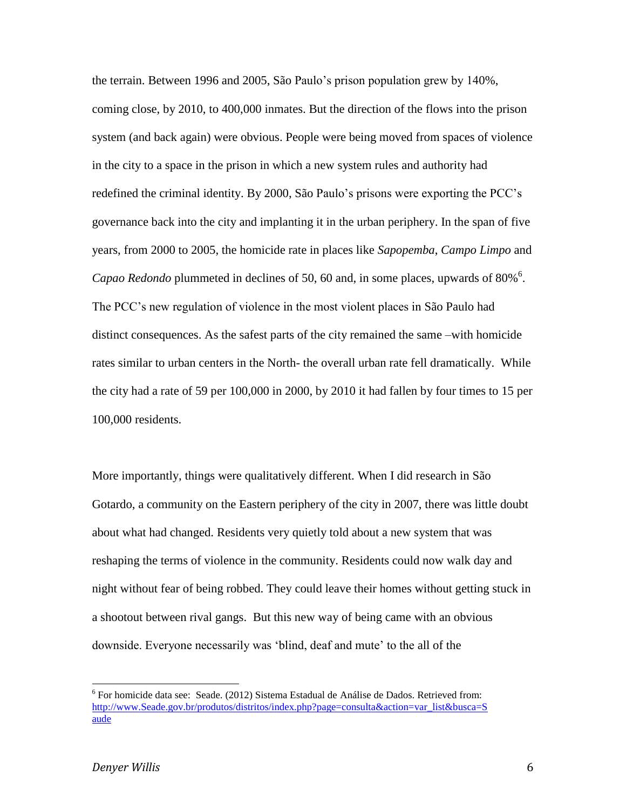the terrain. Between 1996 and 2005, São Paulo's prison population grew by 140%, coming close, by 2010, to 400,000 inmates. But the direction of the flows into the prison system (and back again) were obvious. People were being moved from spaces of violence in the city to a space in the prison in which a new system rules and authority had redefined the criminal identity. By 2000, São Paulo's prisons were exporting the PCC's governance back into the city and implanting it in the urban periphery. In the span of five years, from 2000 to 2005, the homicide rate in places like *Sapopemba*, *Campo Limpo* and Capao Redondo plummeted in declines of 50, 60 and, in some places, upwards of 80%<sup>6</sup>. The PCC's new regulation of violence in the most violent places in São Paulo had distinct consequences. As the safest parts of the city remained the same –with homicide rates similar to urban centers in the North- the overall urban rate fell dramatically. While the city had a rate of 59 per 100,000 in 2000, by 2010 it had fallen by four times to 15 per 100,000 residents.

More importantly, things were qualitatively different. When I did research in São Gotardo, a community on the Eastern periphery of the city in 2007, there was little doubt about what had changed. Residents very quietly told about a new system that was reshaping the terms of violence in the community. Residents could now walk day and night without fear of being robbed. They could leave their homes without getting stuck in a shootout between rival gangs. But this new way of being came with an obvious downside. Everyone necessarily was 'blind, deaf and mute' to the all of the

<sup>&</sup>lt;sup>6</sup> For homicide data see: Seade. (2012) Sistema Estadual de Análise de Dados. Retrieved from: [http://www.Seade.gov.br/produtos/distritos/index.php?page=consulta&action=var\\_list&busca=S](http://www.seade.gov.br/produtos/distritos/index.php?page=consulta&action=var_list&busca=Saude) [aude](http://www.seade.gov.br/produtos/distritos/index.php?page=consulta&action=var_list&busca=Saude)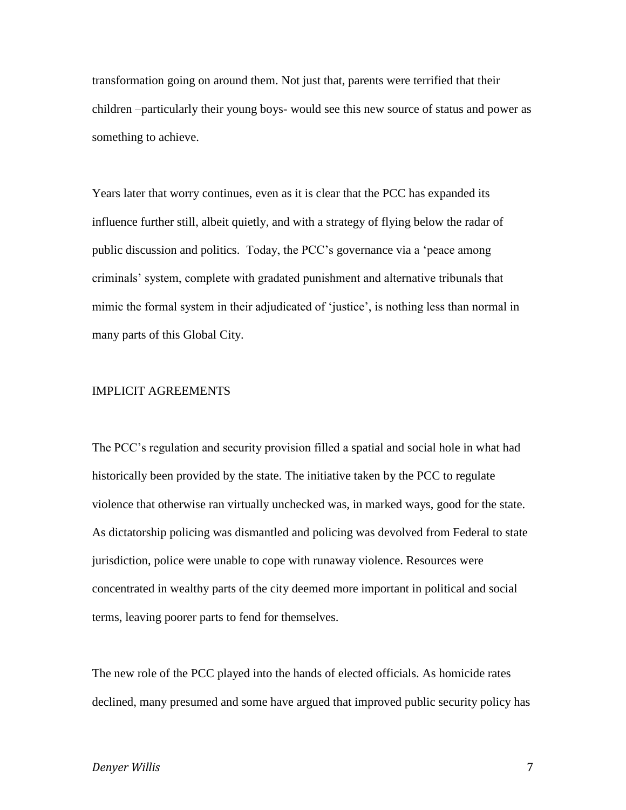transformation going on around them. Not just that, parents were terrified that their children –particularly their young boys- would see this new source of status and power as something to achieve.

Years later that worry continues, even as it is clear that the PCC has expanded its influence further still, albeit quietly, and with a strategy of flying below the radar of public discussion and politics. Today, the PCC's governance via a 'peace among criminals' system, complete with gradated punishment and alternative tribunals that mimic the formal system in their adjudicated of 'justice', is nothing less than normal in many parts of this Global City.

## IMPLICIT AGREEMENTS

The PCC's regulation and security provision filled a spatial and social hole in what had historically been provided by the state. The initiative taken by the PCC to regulate violence that otherwise ran virtually unchecked was, in marked ways, good for the state. As dictatorship policing was dismantled and policing was devolved from Federal to state jurisdiction, police were unable to cope with runaway violence. Resources were concentrated in wealthy parts of the city deemed more important in political and social terms, leaving poorer parts to fend for themselves.

The new role of the PCC played into the hands of elected officials. As homicide rates declined, many presumed and some have argued that improved public security policy has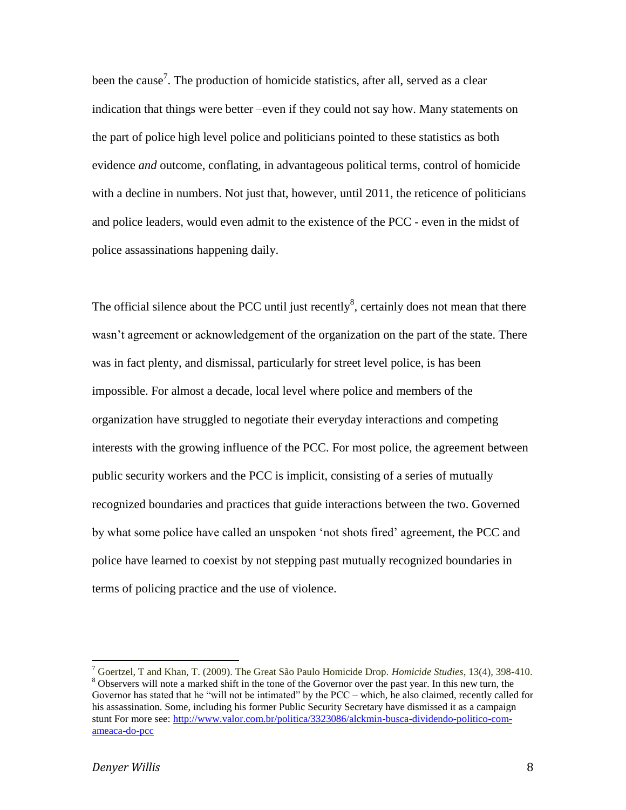been the cause<sup>7</sup>. The production of homicide statistics, after all, served as a clear indication that things were better –even if they could not say how. Many statements on the part of police high level police and politicians pointed to these statistics as both evidence *and* outcome, conflating, in advantageous political terms, control of homicide with a decline in numbers. Not just that, however, until 2011, the reticence of politicians and police leaders, would even admit to the existence of the PCC - even in the midst of police assassinations happening daily.

The official silence about the PCC until just recently<sup>8</sup>, certainly does not mean that there wasn't agreement or acknowledgement of the organization on the part of the state. There was in fact plenty, and dismissal, particularly for street level police, is has been impossible. For almost a decade, local level where police and members of the organization have struggled to negotiate their everyday interactions and competing interests with the growing influence of the PCC. For most police, the agreement between public security workers and the PCC is implicit, consisting of a series of mutually recognized boundaries and practices that guide interactions between the two. Governed by what some police have called an unspoken 'not shots fired' agreement, the PCC and police have learned to coexist by not stepping past mutually recognized boundaries in terms of policing practice and the use of violence.

<sup>7</sup> Goertzel, T and Khan, T. (2009). The Great São Paulo Homicide Drop. *Homicide Studies*, 13(4), 398-410. <sup>8</sup> Observers will note a marked shift in the tone of the Governor over the past year. In this new turn, the Governor has stated that he "will not be intimated" by the PCC – which, he also claimed, recently called for his assassination. Some, including his former Public Security Secretary have dismissed it as a campaign stunt For more see: [http://www.valor.com.br/politica/3323086/alckmin-busca-dividendo-politico-com](http://www.valor.com.br/politica/3323086/alckmin-busca-dividendo-politico-com-ameaca-do-pcc)[ameaca-do-pcc](http://www.valor.com.br/politica/3323086/alckmin-busca-dividendo-politico-com-ameaca-do-pcc)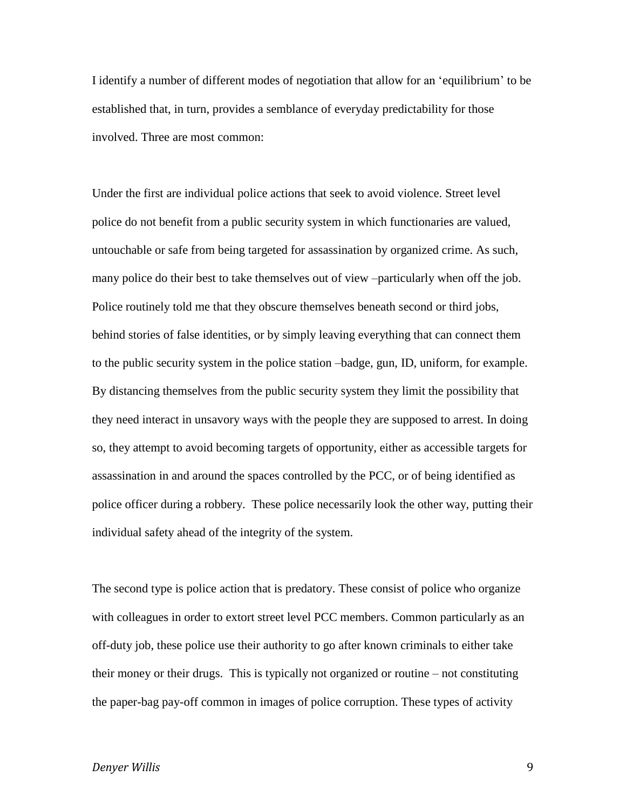I identify a number of different modes of negotiation that allow for an 'equilibrium' to be established that, in turn, provides a semblance of everyday predictability for those involved. Three are most common:

Under the first are individual police actions that seek to avoid violence. Street level police do not benefit from a public security system in which functionaries are valued, untouchable or safe from being targeted for assassination by organized crime. As such, many police do their best to take themselves out of view –particularly when off the job. Police routinely told me that they obscure themselves beneath second or third jobs, behind stories of false identities, or by simply leaving everything that can connect them to the public security system in the police station –badge, gun, ID, uniform, for example. By distancing themselves from the public security system they limit the possibility that they need interact in unsavory ways with the people they are supposed to arrest. In doing so, they attempt to avoid becoming targets of opportunity, either as accessible targets for assassination in and around the spaces controlled by the PCC, or of being identified as police officer during a robbery. These police necessarily look the other way, putting their individual safety ahead of the integrity of the system.

The second type is police action that is predatory. These consist of police who organize with colleagues in order to extort street level PCC members. Common particularly as an off-duty job, these police use their authority to go after known criminals to either take their money or their drugs. This is typically not organized or routine – not constituting the paper-bag pay-off common in images of police corruption. These types of activity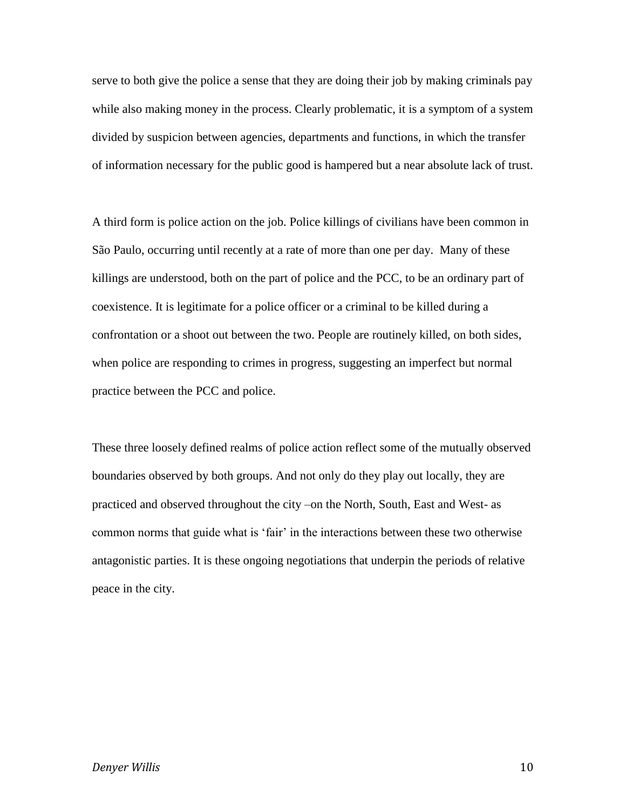serve to both give the police a sense that they are doing their job by making criminals pay while also making money in the process. Clearly problematic, it is a symptom of a system divided by suspicion between agencies, departments and functions, in which the transfer of information necessary for the public good is hampered but a near absolute lack of trust.

A third form is police action on the job. Police killings of civilians have been common in São Paulo, occurring until recently at a rate of more than one per day. Many of these killings are understood, both on the part of police and the PCC, to be an ordinary part of coexistence. It is legitimate for a police officer or a criminal to be killed during a confrontation or a shoot out between the two. People are routinely killed, on both sides, when police are responding to crimes in progress, suggesting an imperfect but normal practice between the PCC and police.

These three loosely defined realms of police action reflect some of the mutually observed boundaries observed by both groups. And not only do they play out locally, they are practiced and observed throughout the city –on the North, South, East and West- as common norms that guide what is 'fair' in the interactions between these two otherwise antagonistic parties. It is these ongoing negotiations that underpin the periods of relative peace in the city.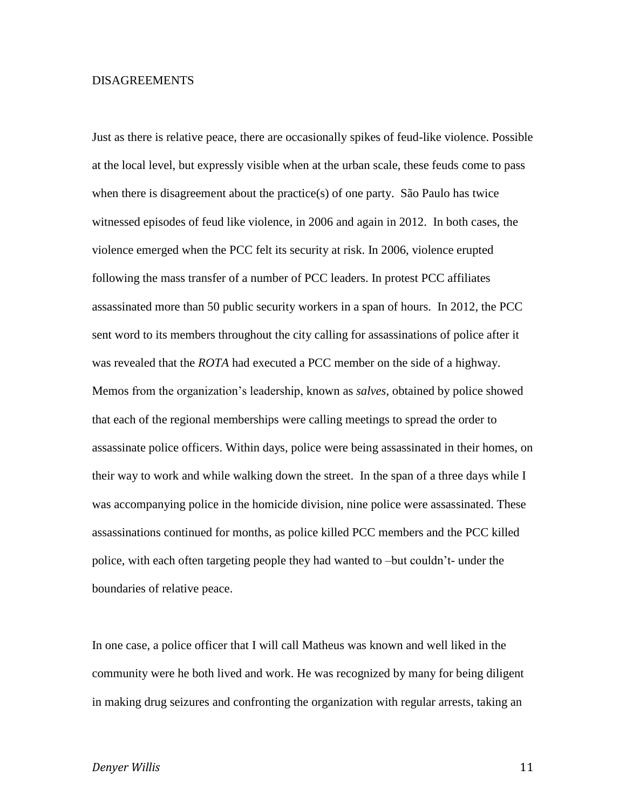## DISAGREEMENTS

Just as there is relative peace, there are occasionally spikes of feud-like violence. Possible at the local level, but expressly visible when at the urban scale, these feuds come to pass when there is disagreement about the practice(s) of one party. São Paulo has twice witnessed episodes of feud like violence, in 2006 and again in 2012. In both cases, the violence emerged when the PCC felt its security at risk. In 2006, violence erupted following the mass transfer of a number of PCC leaders. In protest PCC affiliates assassinated more than 50 public security workers in a span of hours. In 2012, the PCC sent word to its members throughout the city calling for assassinations of police after it was revealed that the *ROTA* had executed a PCC member on the side of a highway. Memos from the organization's leadership, known as *salves*, obtained by police showed that each of the regional memberships were calling meetings to spread the order to assassinate police officers. Within days, police were being assassinated in their homes, on their way to work and while walking down the street. In the span of a three days while I was accompanying police in the homicide division, nine police were assassinated. These assassinations continued for months, as police killed PCC members and the PCC killed police, with each often targeting people they had wanted to –but couldn't- under the boundaries of relative peace.

In one case, a police officer that I will call Matheus was known and well liked in the community were he both lived and work. He was recognized by many for being diligent in making drug seizures and confronting the organization with regular arrests, taking an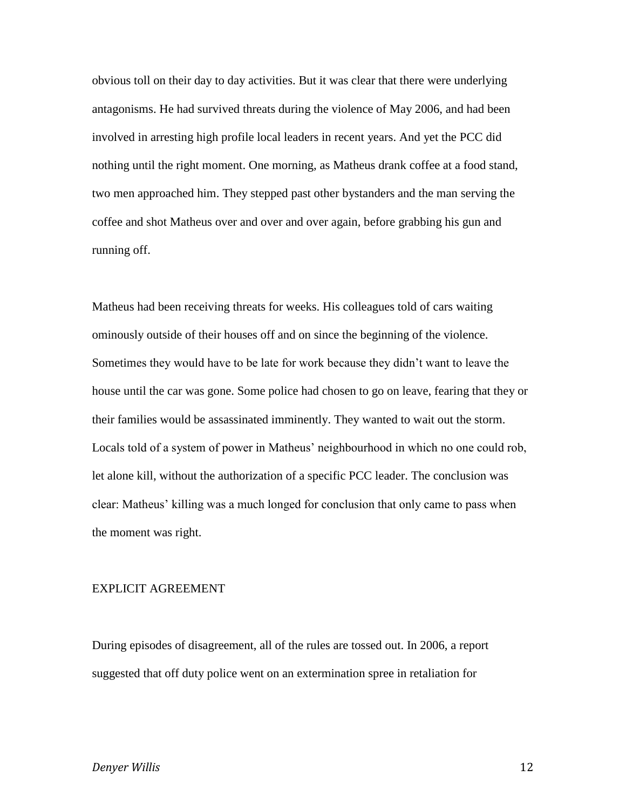obvious toll on their day to day activities. But it was clear that there were underlying antagonisms. He had survived threats during the violence of May 2006, and had been involved in arresting high profile local leaders in recent years. And yet the PCC did nothing until the right moment. One morning, as Matheus drank coffee at a food stand, two men approached him. They stepped past other bystanders and the man serving the coffee and shot Matheus over and over and over again, before grabbing his gun and running off.

Matheus had been receiving threats for weeks. His colleagues told of cars waiting ominously outside of their houses off and on since the beginning of the violence. Sometimes they would have to be late for work because they didn't want to leave the house until the car was gone. Some police had chosen to go on leave, fearing that they or their families would be assassinated imminently. They wanted to wait out the storm. Locals told of a system of power in Matheus' neighbourhood in which no one could rob, let alone kill, without the authorization of a specific PCC leader. The conclusion was clear: Matheus' killing was a much longed for conclusion that only came to pass when the moment was right.

#### EXPLICIT AGREEMENT

During episodes of disagreement, all of the rules are tossed out. In 2006, a report suggested that off duty police went on an extermination spree in retaliation for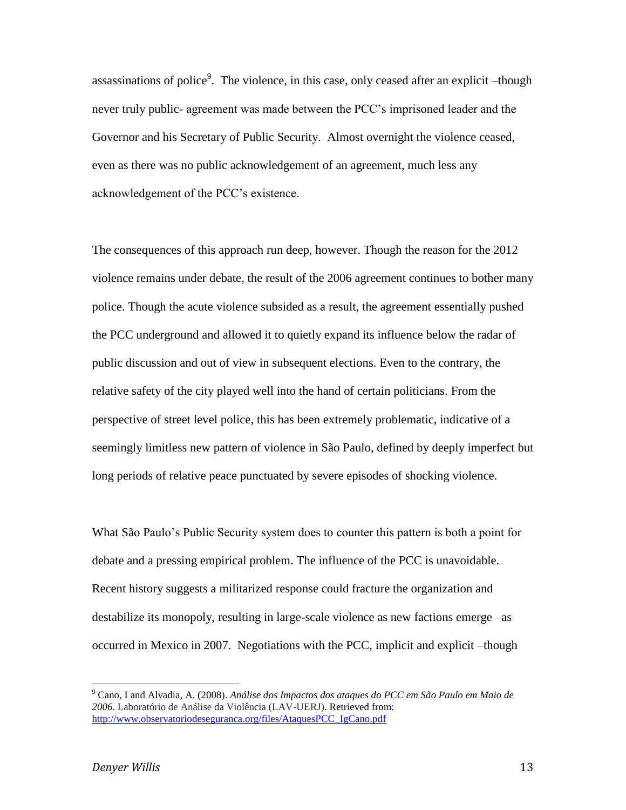assassinations of police<sup>9</sup>. The violence, in this case, only ceased after an explicit  $-$ though never truly public- agreement was made between the PCC's imprisoned leader and the Governor and his Secretary of Public Security. Almost overnight the violence ceased, even as there was no public acknowledgement of an agreement, much less any acknowledgement of the PCC's existence.

The consequences of this approach run deep, however. Though the reason for the 2012 violence remains under debate, the result of the 2006 agreement continues to bother many police. Though the acute violence subsided as a result, the agreement essentially pushed the PCC underground and allowed it to quietly expand its influence below the radar of public discussion and out of view in subsequent elections. Even to the contrary, the relative safety of the city played well into the hand of certain politicians. From the perspective of street level police, this has been extremely problematic, indicative of a seemingly limitless new pattern of violence in São Paulo, defined by deeply imperfect but long periods of relative peace punctuated by severe episodes of shocking violence.

What São Paulo's Public Security system does to counter this pattern is both a point for debate and a pressing empirical problem. The influence of the PCC is unavoidable. Recent history suggests a militarized response could fracture the organization and destabilize its monopoly, resulting in large-scale violence as new factions emerge –as occurred in Mexico in 2007. Negotiations with the PCC, implicit and explicit –though

 $\overline{\phantom{a}}$ 

<sup>9</sup> Cano, I and Alvadia, A. (2008). *Análise dos Impactos dos ataques do PCC em São Paulo em Maio de 2006*. Laboratório de Análise da Violência (LAV-UERJ). Retrieved from: [http://www.observatoriodeseguranca.org/files/AtaquesPCC\\_IgCano.pdf](http://www.observatoriodeseguranca.org/files/AtaquesPCC_IgCano.pdf)